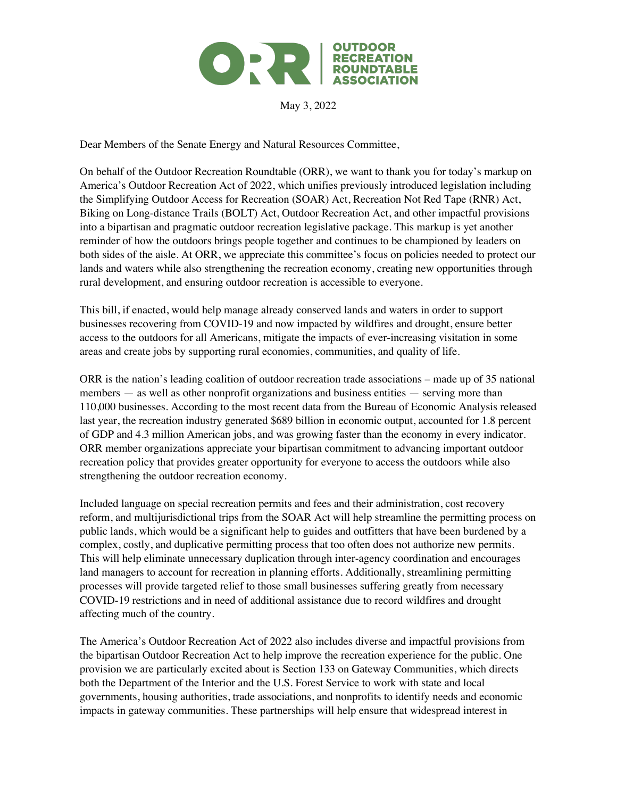

May 3, 2022

Dear Members of the Senate Energy and Natural Resources Committee,

On behalf of the Outdoor Recreation Roundtable (ORR), we want to thank you for today's markup on America's Outdoor Recreation Act of 2022, which unifies previously introduced legislation including the Simplifying Outdoor Access for Recreation (SOAR) Act, Recreation Not Red Tape (RNR) Act, Biking on Long-distance Trails (BOLT) Act, Outdoor Recreation Act, and other impactful provisions into a bipartisan and pragmatic outdoor recreation legislative package. This markup is yet another reminder of how the outdoors brings people together and continues to be championed by leaders on both sides of the aisle. At ORR, we appreciate this committee's focus on policies needed to protect our lands and waters while also strengthening the recreation economy, creating new opportunities through rural development, and ensuring outdoor recreation is accessible to everyone.

This bill, if enacted, would help manage already conserved lands and waters in order to support businesses recovering from COVID-19 and now impacted by wildfires and drought, ensure better access to the outdoors for all Americans, mitigate the impacts of ever-increasing visitation in some areas and create jobs by supporting rural economies, communities, and quality of life.

ORR is the nation's leading coalition of outdoor recreation trade associations – made up of 35 national members — as well as other nonprofit organizations and business entities — serving more than 110,000 businesses. According to the most recent data from the Bureau of Economic Analysis released last year, the recreation industry generated \$689 billion in economic output, accounted for 1.8 percent of GDP and 4.3 million American jobs, and was growing faster than the economy in every indicator. ORR member organizations appreciate your bipartisan commitment to advancing important outdoor recreation policy that provides greater opportunity for everyone to access the outdoors while also strengthening the outdoor recreation economy.

Included language on special recreation permits and fees and their administration, cost recovery reform, and multijurisdictional trips from the SOAR Act will help streamline the permitting process on public lands, which would be a significant help to guides and outfitters that have been burdened by a complex, costly, and duplicative permitting process that too often does not authorize new permits. This will help eliminate unnecessary duplication through inter-agency coordination and encourages land managers to account for recreation in planning efforts. Additionally, streamlining permitting processes will provide targeted relief to those small businesses suffering greatly from necessary COVID-19 restrictions and in need of additional assistance due to record wildfires and drought affecting much of the country.

The America's Outdoor Recreation Act of 2022 also includes diverse and impactful provisions from the bipartisan Outdoor Recreation Act to help improve the recreation experience for the public. One provision we are particularly excited about is Section 133 on Gateway Communities, which directs both the Department of the Interior and the U.S. Forest Service to work with state and local governments, housing authorities, trade associations, and nonprofits to identify needs and economic impacts in gateway communities. These partnerships will help ensure that widespread interest in